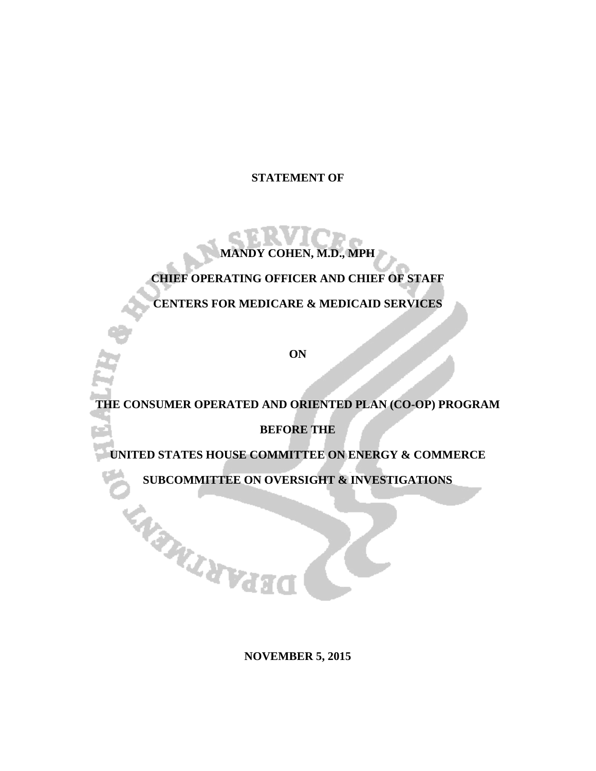## **STATEMENT OF**

# **MANDY COHEN, M.D., MPH**

## **CHIEF OPERATING OFFICER AND CHIEF OF STAFF**

**CENTERS FOR MEDICARE & MEDICAID SERVICES**

**ON**

# **THE CONSUMER OPERATED AND ORIENTED PLAN (CO-OP) PROGRAM**

**BEFORE THE**

**UNITED STATES HOUSE COMMITTEE ON ENERGY & COMMERCE**

**SUBCOMMITTEE ON OVERSIGHT & INVESTIGATIONS**

**ENSWANTERS** 

**NOVEMBER 5, 2015**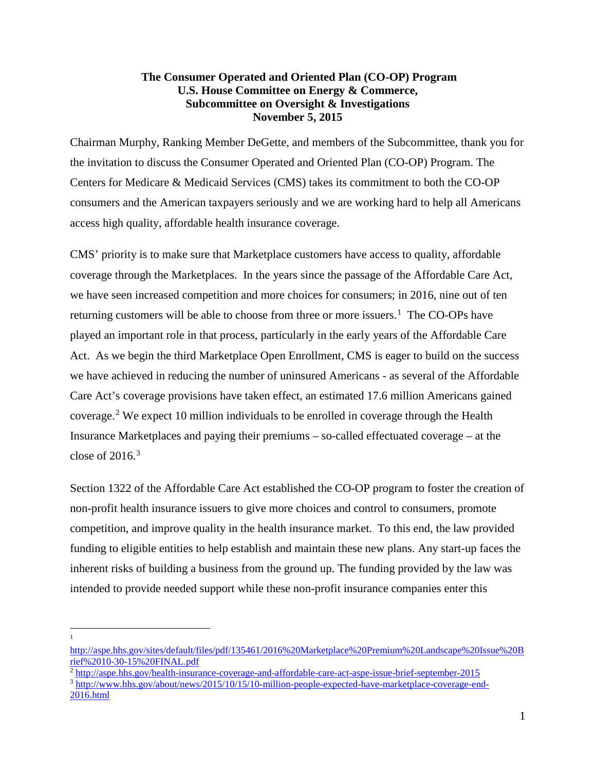## **The Consumer Operated and Oriented Plan (CO-OP) Program U.S. House Committee on Energy & Commerce, Subcommittee on Oversight & Investigations November 5, 2015**

Chairman Murphy, Ranking Member DeGette, and members of the Subcommittee, thank you for the invitation to discuss the Consumer Operated and Oriented Plan (CO-OP) Program. The Centers for Medicare & Medicaid Services (CMS) takes its commitment to both the CO-OP consumers and the American taxpayers seriously and we are working hard to help all Americans access high quality, affordable health insurance coverage.

CMS' priority is to make sure that Marketplace customers have access to quality, affordable coverage through the Marketplaces. In the years since the passage of the Affordable Care Act, we have seen increased competition and more choices for consumers; in 2016, nine out of ten returning customers will be able to choose from three or more issuers.<sup>[1](#page-1-0)</sup> The CO-OPs have played an important role in that process, particularly in the early years of the Affordable Care Act. As we begin the third Marketplace Open Enrollment, CMS is eager to build on the success we have achieved in reducing the number of uninsured Americans - as several of the Affordable Care Act's coverage provisions have taken effect, an estimated 17.6 million Americans gained coverage. [2](#page-1-1) We expect 10 million individuals to be enrolled in coverage through the Health Insurance Marketplaces and paying their premiums – so-called effectuated coverage – at the close of  $2016<sup>3</sup>$  $2016<sup>3</sup>$  $2016<sup>3</sup>$ 

Section 1322 of the Affordable Care Act established the CO-OP program to foster the creation of non-profit health insurance issuers to give more choices and control to consumers, promote competition, and improve quality in the health insurance market. To this end, the law provided funding to eligible entities to help establish and maintain these new plans. Any start-up faces the inherent risks of building a business from the ground up. The funding provided by the law was intended to provide needed support while these non-profit insurance companies enter this

1  $\overline{\phantom{a}}$ 

<span id="page-1-0"></span>[http://aspe.hhs.gov/sites/default/files/pdf/135461/2016%20Marketplace%20Premium%20Landscape%20Issue%20B](http://aspe.hhs.gov/sites/default/files/pdf/135461/2016%20Marketplace%20Premium%20Landscape%20Issue%20Brief%2010-30-15%20FINAL.pdf) [rief%2010-30-15%20FINAL.pdf](http://aspe.hhs.gov/sites/default/files/pdf/135461/2016%20Marketplace%20Premium%20Landscape%20Issue%20Brief%2010-30-15%20FINAL.pdf)

<sup>2</sup> <http://aspe.hhs.gov/health-insurance-coverage-and-affordable-care-act-aspe-issue-brief-september-2015>

<span id="page-1-2"></span><span id="page-1-1"></span><sup>&</sup>lt;sup>3</sup> [http://www.hhs.gov/about/news/2015/10/15/10-million-people-expected-have-marketplace-coverage-end-](http://www.hhs.gov/about/news/2015/10/15/10-million-people-expected-have-marketplace-coverage-end-2016.html)[2016.html](http://www.hhs.gov/about/news/2015/10/15/10-million-people-expected-have-marketplace-coverage-end-2016.html)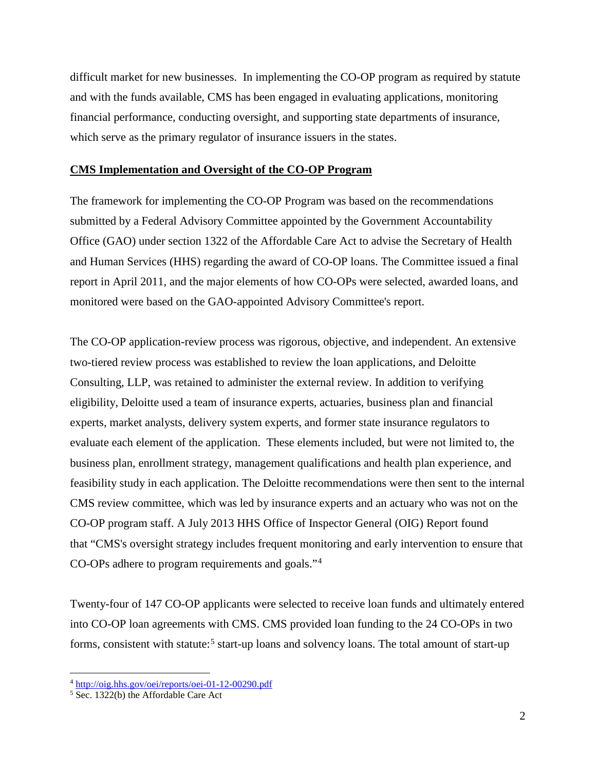difficult market for new businesses. In implementing the CO-OP program as required by statute and with the funds available, CMS has been engaged in evaluating applications, monitoring financial performance, conducting oversight, and supporting state departments of insurance, which serve as the primary regulator of insurance issuers in the states.

#### **CMS Implementation and Oversight of the CO-OP Program**

The framework for implementing the CO-OP Program was based on the recommendations submitted by a Federal Advisory Committee appointed by the Government Accountability Office (GAO) under section 1322 of the Affordable Care Act to advise the Secretary of Health and Human Services (HHS) regarding the award of CO-OP loans. The Committee issued a final report in April 2011, and the major elements of how CO-OPs were selected, awarded loans, and monitored were based on the GAO-appointed Advisory Committee's report.

The CO-OP application-review process was rigorous, objective, and independent. An extensive two-tiered review process was established to review the loan applications, and Deloitte Consulting, LLP, was retained to administer the external review. In addition to verifying eligibility, Deloitte used a team of insurance experts, actuaries, business plan and financial experts, market analysts, delivery system experts, and former state insurance regulators to evaluate each element of the application. These elements included, but were not limited to, the business plan, enrollment strategy, management qualifications and health plan experience, and feasibility study in each application. The Deloitte recommendations were then sent to the internal CMS review committee, which was led by insurance experts and an actuary who was not on the CO-OP program staff. A July 2013 HHS Office of Inspector General (OIG) Report found that "CMS's oversight strategy includes frequent monitoring and early intervention to ensure that CO-OPs adhere to program requirements and goals."[4](#page-2-0)

Twenty-four of 147 CO-OP applicants were selected to receive loan funds and ultimately entered into CO-OP loan agreements with CMS. CMS provided loan funding to the 24 CO-OPs in two forms, consistent with statute:<sup>[5](#page-2-1)</sup> start-up loans and solvency loans. The total amount of start-up

l

<span id="page-2-0"></span><sup>&</sup>lt;sup>4</sup> <http://oig.hhs.gov/oei/reports/oei-01-12-00290.pdf>

<span id="page-2-1"></span><sup>&</sup>lt;sup>5</sup> Sec. 1322(b) the Affordable Care Act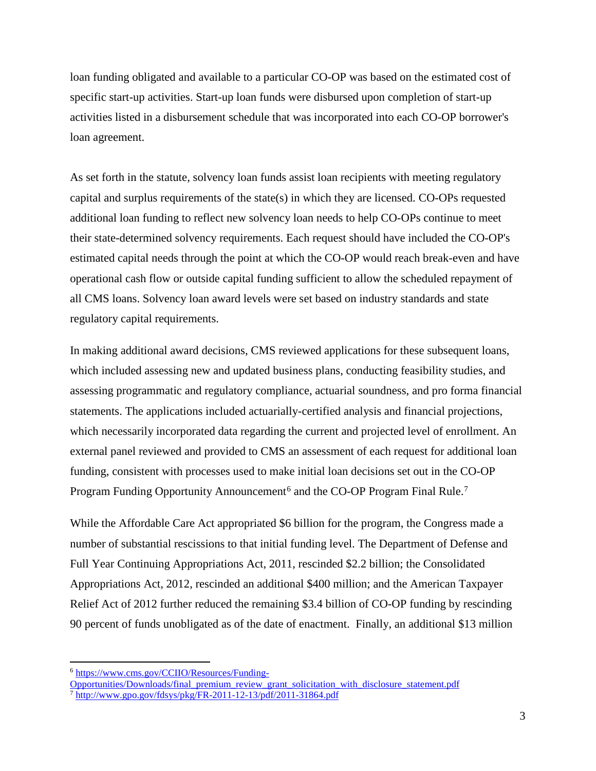loan funding obligated and available to a particular CO-OP was based on the estimated cost of specific start-up activities. Start-up loan funds were disbursed upon completion of start-up activities listed in a disbursement schedule that was incorporated into each CO-OP borrower's loan agreement.

As set forth in the statute, solvency loan funds assist loan recipients with meeting regulatory capital and surplus requirements of the state(s) in which they are licensed. CO-OPs requested additional loan funding to reflect new solvency loan needs to help CO-OPs continue to meet their state-determined solvency requirements. Each request should have included the CO-OP's estimated capital needs through the point at which the CO-OP would reach break-even and have operational cash flow or outside capital funding sufficient to allow the scheduled repayment of all CMS loans. Solvency loan award levels were set based on industry standards and state regulatory capital requirements.

In making additional award decisions, CMS reviewed applications for these subsequent loans, which included assessing new and updated business plans, conducting feasibility studies, and assessing programmatic and regulatory compliance, actuarial soundness, and pro forma financial statements. The applications included actuarially-certified analysis and financial projections, which necessarily incorporated data regarding the current and projected level of enrollment. An external panel reviewed and provided to CMS an assessment of each request for additional loan funding, consistent with processes used to make initial loan decisions set out in the CO-OP Program Funding Opportunity Announcement<sup>[6](#page-3-0)</sup> and the CO-OP Program Final Rule.<sup>[7](#page-3-1)</sup>

While the Affordable Care Act appropriated \$6 billion for the program, the Congress made a number of substantial rescissions to that initial funding level. The Department of Defense and Full Year Continuing Appropriations Act, 2011, rescinded \$2.2 billion; the Consolidated Appropriations Act, 2012, rescinded an additional \$400 million; and the American Taxpayer Relief Act of 2012 further reduced the remaining \$3.4 billion of CO-OP funding by rescinding 90 percent of funds unobligated as of the date of enactment. Finally, an additional \$13 million

 $\overline{\phantom{a}}$ 

<span id="page-3-0"></span><sup>6</sup> [https://www.cms.gov/CCIIO/Resources/Funding-](https://www.cms.gov/CCIIO/Resources/Funding-Opportunities/Downloads/final_premium_review_grant_solicitation_with_disclosure_statement.pdf)

[Opportunities/Downloads/final\\_premium\\_review\\_grant\\_solicitation\\_with\\_disclosure\\_statement.pdf](https://www.cms.gov/CCIIO/Resources/Funding-Opportunities/Downloads/final_premium_review_grant_solicitation_with_disclosure_statement.pdf)

<span id="page-3-1"></span><sup>7</sup> <http://www.gpo.gov/fdsys/pkg/FR-2011-12-13/pdf/2011-31864.pdf>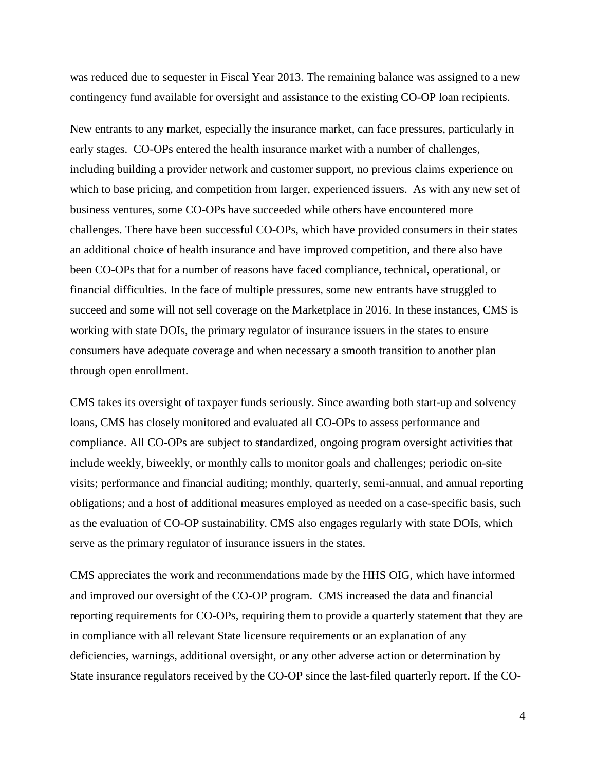was reduced due to sequester in Fiscal Year 2013. The remaining balance was assigned to a new contingency fund available for oversight and assistance to the existing CO-OP loan recipients.

New entrants to any market, especially the insurance market, can face pressures, particularly in early stages. CO-OPs entered the health insurance market with a number of challenges, including building a provider network and customer support, no previous claims experience on which to base pricing, and competition from larger, experienced issuers. As with any new set of business ventures, some CO-OPs have succeeded while others have encountered more challenges. There have been successful CO-OPs, which have provided consumers in their states an additional choice of health insurance and have improved competition, and there also have been CO-OPs that for a number of reasons have faced compliance, technical, operational, or financial difficulties. In the face of multiple pressures, some new entrants have struggled to succeed and some will not sell coverage on the Marketplace in 2016. In these instances, CMS is working with state DOIs, the primary regulator of insurance issuers in the states to ensure consumers have adequate coverage and when necessary a smooth transition to another plan through open enrollment.

CMS takes its oversight of taxpayer funds seriously. Since awarding both start-up and solvency loans, CMS has closely monitored and evaluated all CO-OPs to assess performance and compliance. All CO-OPs are subject to standardized, ongoing program oversight activities that include weekly, biweekly, or monthly calls to monitor goals and challenges; periodic on-site visits; performance and financial auditing; monthly, quarterly, semi-annual, and annual reporting obligations; and a host of additional measures employed as needed on a case-specific basis, such as the evaluation of CO-OP sustainability. CMS also engages regularly with state DOIs, which serve as the primary regulator of insurance issuers in the states.

CMS appreciates the work and recommendations made by the HHS OIG, which have informed and improved our oversight of the CO-OP program. CMS increased the data and financial reporting requirements for CO-OPs, requiring them to provide a quarterly statement that they are in compliance with all relevant State licensure requirements or an explanation of any deficiencies, warnings, additional oversight, or any other adverse action or determination by State insurance regulators received by the CO-OP since the last-filed quarterly report. If the CO-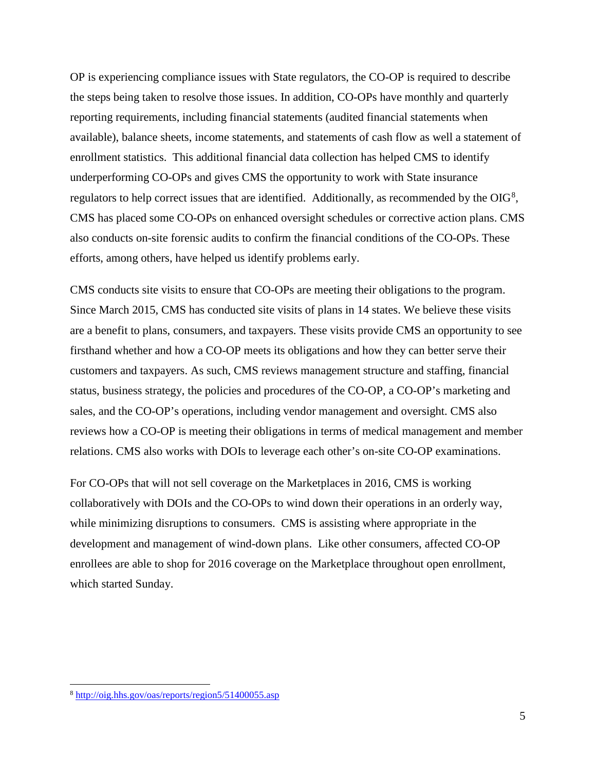OP is experiencing compliance issues with State regulators, the CO-OP is required to describe the steps being taken to resolve those issues. In addition, CO-OPs have monthly and quarterly reporting requirements, including financial statements (audited financial statements when available), balance sheets, income statements, and statements of cash flow as well a statement of enrollment statistics. This additional financial data collection has helped CMS to identify underperforming CO-OPs and gives CMS the opportunity to work with State insurance regulators to help correct issues that are identified. Additionally, as recommended by the  $OIG<sup>8</sup>$  $OIG<sup>8</sup>$  $OIG<sup>8</sup>$ , CMS has placed some CO-OPs on enhanced oversight schedules or corrective action plans. CMS also conducts on-site forensic audits to confirm the financial conditions of the CO-OPs. These efforts, among others, have helped us identify problems early.

CMS conducts site visits to ensure that CO-OPs are meeting their obligations to the program. Since March 2015, CMS has conducted site visits of plans in 14 states. We believe these visits are a benefit to plans, consumers, and taxpayers. These visits provide CMS an opportunity to see firsthand whether and how a CO-OP meets its obligations and how they can better serve their customers and taxpayers. As such, CMS reviews management structure and staffing, financial status, business strategy, the policies and procedures of the CO-OP, a CO-OP's marketing and sales, and the CO-OP's operations, including vendor management and oversight. CMS also reviews how a CO-OP is meeting their obligations in terms of medical management and member relations. CMS also works with DOIs to leverage each other's on-site CO-OP examinations.

For CO-OPs that will not sell coverage on the Marketplaces in 2016, CMS is working collaboratively with DOIs and the CO-OPs to wind down their operations in an orderly way, while minimizing disruptions to consumers. CMS is assisting where appropriate in the development and management of wind-down plans. Like other consumers, affected CO-OP enrollees are able to shop for 2016 coverage on the Marketplace throughout open enrollment, which started Sunday.

 $\overline{a}$ 

<span id="page-5-0"></span><sup>8</sup> <http://oig.hhs.gov/oas/reports/region5/51400055.asp>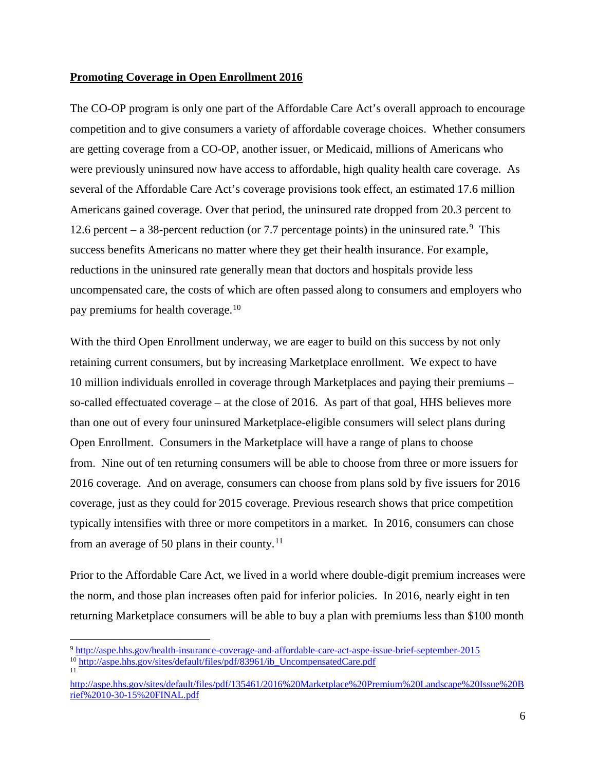#### **Promoting Coverage in Open Enrollment 2016**

The CO-OP program is only one part of the Affordable Care Act's overall approach to encourage competition and to give consumers a variety of affordable coverage choices. Whether consumers are getting coverage from a CO-OP, another issuer, or Medicaid, millions of Americans who were previously uninsured now have access to affordable, high quality health care coverage. As several of the Affordable Care Act's coverage provisions took effect, an estimated 17.6 million Americans gained coverage. Over that period, the uninsured rate dropped from 20.3 percent to 12.6 percent – a 38-percent reduction (or 7.7 percentage points) in the uninsured rate.<sup>[9](#page-6-0)</sup> This success benefits Americans no matter where they get their health insurance. For example, reductions in the uninsured rate generally mean that doctors and hospitals provide less uncompensated care, the costs of which are often passed along to consumers and employers who pay premiums for health coverage.<sup>[10](#page-6-1)</sup>

With the third Open Enrollment underway, we are eager to build on this success by not only retaining current consumers, but by increasing Marketplace enrollment. We expect to have 10 million individuals enrolled in coverage through Marketplaces and paying their premiums – so-called effectuated coverage – at the close of 2016. As part of that goal, HHS believes more than one out of every four uninsured Marketplace-eligible consumers will select plans during Open Enrollment. Consumers in the Marketplace will have a range of plans to choose from. Nine out of ten returning consumers will be able to choose from three or more issuers for 2016 coverage. And on average, consumers can choose from plans sold by five issuers for 2016 coverage, just as they could for 2015 coverage. Previous research shows that price competition typically intensifies with three or more competitors in a market. In 2016, consumers can chose from an average of 50 plans in their county.<sup>[11](#page-6-2)</sup>

Prior to the Affordable Care Act, we lived in a world where double-digit premium increases were the norm, and those plan increases often paid for inferior policies. In 2016, nearly eight in ten returning Marketplace consumers will be able to buy a plan with premiums less than \$100 month

l

<span id="page-6-1"></span><span id="page-6-0"></span><sup>9</sup> <http://aspe.hhs.gov/health-insurance-coverage-and-affordable-care-act-aspe-issue-brief-september-2015> <sup>10</sup> [http://aspe.hhs.gov/sites/default/files/pdf/83961/ib\\_UncompensatedCare.pdf](http://aspe.hhs.gov/sites/default/files/pdf/83961/ib_UncompensatedCare.pdf) 11

<span id="page-6-2"></span>[http://aspe.hhs.gov/sites/default/files/pdf/135461/2016%20Marketplace%20Premium%20Landscape%20Issue%20B](http://aspe.hhs.gov/sites/default/files/pdf/135461/2016%20Marketplace%20Premium%20Landscape%20Issue%20Brief%2010-30-15%20FINAL.pdf) [rief%2010-30-15%20FINAL.pdf](http://aspe.hhs.gov/sites/default/files/pdf/135461/2016%20Marketplace%20Premium%20Landscape%20Issue%20Brief%2010-30-15%20FINAL.pdf)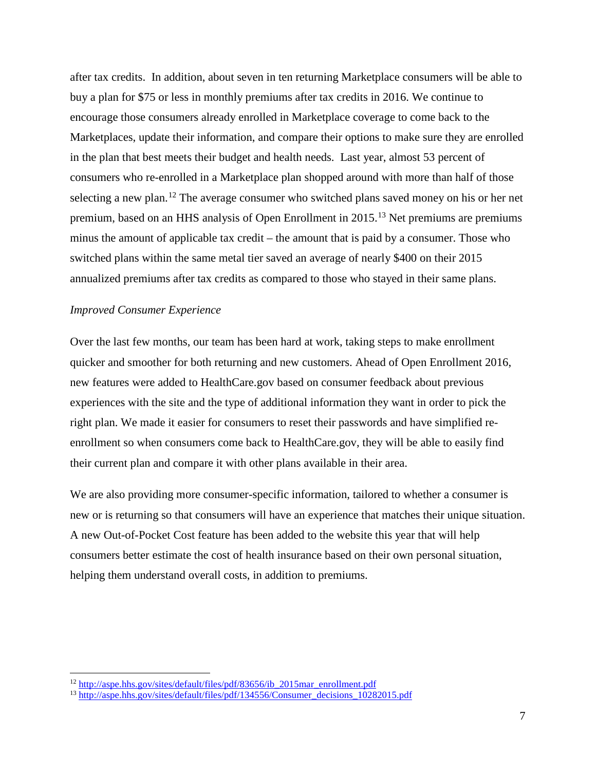after tax credits. In addition, about seven in ten returning Marketplace consumers will be able to buy a plan for \$75 or less in monthly premiums after tax credits in 2016. We continue to encourage those consumers already enrolled in Marketplace coverage to come back to the Marketplaces, update their information, and compare their options to make sure they are enrolled in the plan that best meets their budget and health needs. Last year, almost 53 percent of consumers who re-enrolled in a Marketplace plan shopped around with more than half of those selecting a new plan.<sup>[12](#page-7-0)</sup> The average consumer who switched plans saved money on his or her net premium, based on an HHS analysis of Open Enrollment in 2015.[13](#page-7-1) Net premiums are premiums minus the amount of applicable tax credit – the amount that is paid by a consumer. Those who switched plans within the same metal tier saved an average of nearly \$400 on their 2015 annualized premiums after tax credits as compared to those who stayed in their same plans.

#### *Improved Consumer Experience*

l

Over the last few months, our team has been hard at work, taking steps to make enrollment quicker and smoother for both returning and new customers. Ahead of Open Enrollment 2016, new features were added to HealthCare.gov based on consumer feedback about previous experiences with the site and the type of additional information they want in order to pick the right plan. We made it easier for consumers to reset their passwords and have simplified reenrollment so when consumers come back to HealthCare.gov, they will be able to easily find their current plan and compare it with other plans available in their area.

We are also providing more consumer-specific information, tailored to whether a consumer is new or is returning so that consumers will have an experience that matches their unique situation. A new Out-of-Pocket Cost feature has been added to the website this year that will help consumers better estimate the cost of health insurance based on their own personal situation, helping them understand overall costs, in addition to premiums.

<span id="page-7-0"></span><sup>&</sup>lt;sup>12</sup> [http://aspe.hhs.gov/sites/default/files/pdf/83656/ib\\_2015mar\\_enrollment.pdf](http://aspe.hhs.gov/sites/default/files/pdf/83656/ib_2015mar_enrollment.pdf)

<span id="page-7-1"></span><sup>&</sup>lt;sup>13</sup> [http://aspe.hhs.gov/sites/default/files/pdf/134556/Consumer\\_decisions\\_10282015.pdf](http://aspe.hhs.gov/sites/default/files/pdf/134556/Consumer_decisions_10282015.pdf)